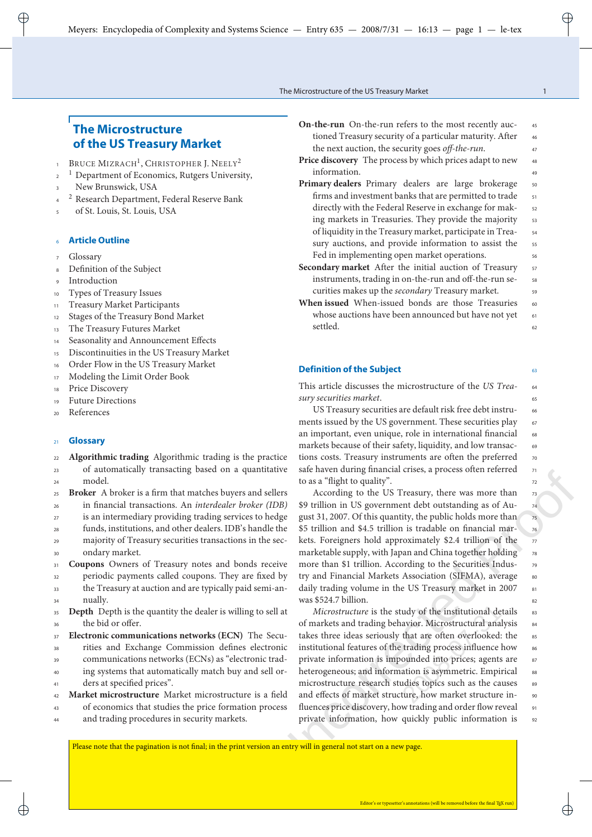#### The Microstructure of the US Treasury Market

# **The Microstructure of the US Treasury Market**

- Bruce Mizrach<sup>1</sup>, Christopher J. Neely<sup>2</sup> 1
- <sup>2</sup> Department of Economics, Rutgers University, <sup>3</sup> New Brunswick, USA
- <sup>2</sup> Research Department, Federal Reserve Bank
- <sup>5</sup> of St. Louis, St. Louis, USA

# <sup>6</sup> **Article Outline**

Glossary

✐

- Definition of the Subject
- Introduction
- <sup>10</sup> Types of Treasury Issues
- <sup>11</sup> Treasury Market Participants
- <sup>12</sup> Stages of the Treasury Bond Market
- <sup>13</sup> The Treasury Futures Market
- <sup>14</sup> Seasonality and Announcement Effects
- <sup>15</sup> Discontinuities in the US Treasury Market
- <sup>16</sup> Order Flow in the US Treasury Market
- <sup>17</sup> Modeling the Limit Order Book
- 18 Price Discovery
- **Future Directions**
- <sup>20</sup> References

# <sup>21</sup> **Glossary**

- <sup>22</sup> **Algorithmic trading** Algorithmic trading is the practice <sup>23</sup> of automatically transacting based on a quantitative
- $m \cdot \text{model}$ <sup>25</sup> **Broker** A broker is a firm that matches buyers and sellers
- <sup>26</sup> in financial transactions. An *interdealer broker (IDB)*
- <sup>27</sup> is an intermediary providing trading services to hedge
- <sup>28</sup> funds, institutions, and other dealers. IDB's handle the
- majority of Treasury securities transactions in the sec-
- <sup>30</sup> ondary market.

✐

- 31 **Coupons** Owners of Treasury notes and bonds receive
- <sup>32</sup> periodic payments called coupons. They are fixed by <sup>33</sup> the Treasury at auction and are typically paid semi-an-
- <sup>34</sup> nually. <sup>35</sup> **Depth** Depth is the quantity the dealer is willing to sell at
- the bid or offer.
- <sup>37</sup> **Electronic communications networks (ECN)** The Secu-
- <sup>38</sup> rities and Exchange Commission defines electronic
- <sup>39</sup> communications networks (ECNs) as "electronic trading systems that automatically match buy and sell or-<sup>41</sup> ders at specified prices".
- <sup>42</sup> **Market microstructure** Market microstructure is a field
- <sup>43</sup> of economics that studies the price formation process
- and trading procedures in security markets.

| <b>On-the-run</b> On-the-run refers to the most recently auc-   | 45 |
|-----------------------------------------------------------------|----|
| tioned Treasury security of a particular maturity. After        | 46 |
| the next auction, the security goes off-the-run.                | 47 |
| <b>Price discovery</b> The process by which prices adapt to new | 48 |
| information.                                                    | 49 |

- **Primary dealers** Primary dealers are large brokerage 50 firms and investment banks that are permitted to trade 51 directly with the Federal Reserve in exchange for mak-<br>
<sub>52</sub> ing markets in Treasuries. They provide the majority 53 of liquidity in the Treasury market, participate in Trea- <sup>54</sup> sury auctions, and provide information to assist the 55 Fed in implementing open market operations.
- **Secondary market** After the initial auction of Treasury 57 instruments, trading in on-the-run and off-the-run securities makes up the *secondary* Treasury market.
- When issued When-issued bonds are those Treasuries 60 whose auctions have been announced but have not yet 61  $\text{settled.}$  62

# **Definition of the Subject 63 and 7 and 7 and 7 and 7 and 7 and 7 and 7 and 7 and 7 and 7 and 7 and 7 and 7 and 7 and 7 and 7 and 7 and 7 and 7 and 7 and 7 and 7 and 7 and 7 and 7 and 7 and 7 and 7 and 7 and 7 and 7 and 7**

This article discusses the microstructure of the *US Trea-* <sup>64</sup> *sury securities market* **.** 65

US Treasury securities are default risk free debt instruments issued by the US government. These securities play 67 an important, even unique, role in international financial markets because of their safety, liquidity, and low transac- 69 tions costs. Treasury instruments are often the preferred  $70$ safe haven during financial crises, a process often referred  $71$ to as a "flight to quality".  $\frac{1}{2}$ 

According to the US Treasury, there was more than 73 \$9 trillion in US government debt outstanding as of Au- <sup>74</sup> gust 31, 2007. Of this quantity, the public holds more than  $\sim$  75 \$5 trillion and \$4.5 trillion is tradable on financial mar-  $\frac{1}{6}$  76 kets. Foreigners hold approximately \$2.4 trillion of the  $77$ marketable supply, with Japan and China together holding  $\frac{1}{8}$ more than \$1 trillion. According to the Securities Industry and Financial Markets Association (SIFMA), average so daily trading volume in the US Treasury market in 2007 81 was  $$524.7$  billion.

she may of the US Treasury, there was more than<br>the same and the US Treasury, there was more than<br>the same of the US Treasury, there was more than<br> $\frac{1}{10}$  and US government debt outstanding as of Au-<br>the s5 trillion and *Microstructure* is the study of the institutional details 83 of markets and trading behavior. Microstructural analysis <sup>84</sup> takes three ideas seriously that are often overlooked: the 85 institutional features of the trading process influence how 86 private information is impounded into prices; agents are s heterogeneous; and information is asymmetric. Empirical microstructure research studies topics such as the causes 89 and effects of market structure, how market structure influences price discovery, how trading and order flow reveal 91 private information, how quickly public information is 92

Please note that the pagination is not final; in the print version an entry will in general not start on a new page.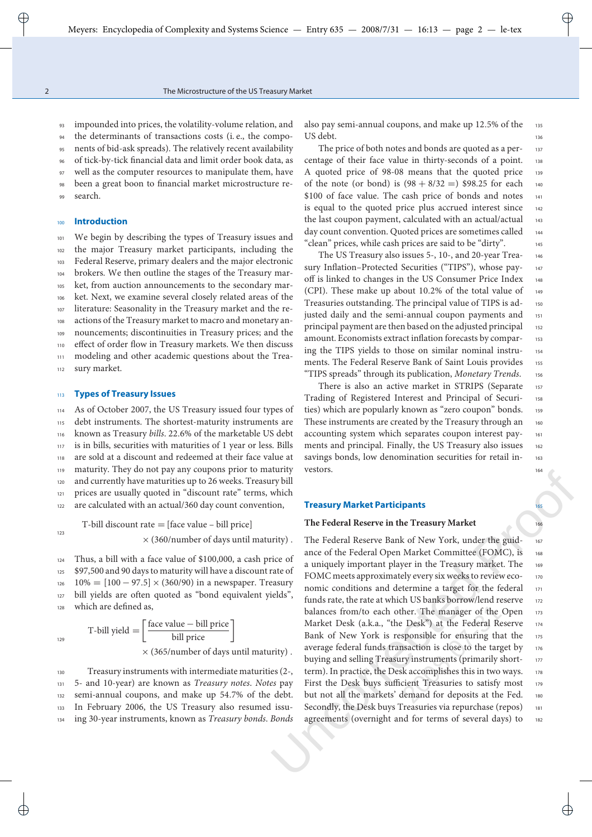- 93 impounded into prices, the volatility-volume relation, and
- 94 the determinants of transactions costs (i.e., the compo-
- <sup>95</sup> nents of bid-ask spreads). The relatively recent availability
- <sup>96</sup> of tick-by-tick financial data and limit order book data, as
- 97 well as the computer resources to manipulate them, have
- <sup>98</sup> been a great boon to financial market microstructure re-<sup>99</sup> search.
- 

# <sup>100</sup> **Introduction**

 We begin by describing the types of Treasury issues and the major Treasury market participants, including the Federal Reserve, primary dealers and the major electronic brokers. We then outline the stages of the Treasury mar- ket, from auction announcements to the secondary mar- ket. Next, we examine several closely related areas of the literature: Seasonality in the Treasury market and the re- actions of the Treasury market to macro and monetary an- nouncements; discontinuities in Treasury prices; and the effect of order flow in Treasury markets. We then discuss modeling and other academic questions about the Trea-sury market.

### <sup>113</sup> **Types of Treasury Issues**

<sup>114</sup> As of October 2007, the US Treasury issued four types of <sup>115</sup> debt instruments. The shortest-maturity instruments are <sup>116</sup> known as Treasury *bills*. 22 :6% of the marketable US debt <sup>117</sup> is in bills, securities with maturities of 1 year or less. Bills <sup>118</sup> are sold at a discount and redeemed at their face value at 119 maturity. They do not pay any coupons prior to maturity 120 and currently have maturities up to 26 weeks. Treasury bill 121 prices are usually quoted in "discount rate" terms, which 122 are calculated with an actual/360 day count convention,

T-bill discount rate = [face value – bill price]

 $\times$ (360/number of days until maturity) .

<sup>124</sup> Thus, a bill with a face value of \$100,000, a cash price of 125 \$97,500 and 90 days to maturity will have a discount rate of  $10\% = [100 - 97.5] \times (360/90)$  in a newspaper. Treasury <sup>127</sup> bill yields are often quoted as "bond equivalent yields", <sup>128</sup> which are defined as,

$$
T \text{-bill yield} = \left[ \frac{\text{face value} - \text{bill price}}{\text{bill price}} \right] \times (365/\text{number of days until maturity}).
$$

 Treasury instruments with intermediate maturities (2-, 5- and 10-year) are known as *Treasury notes* . *Notes* pay 132 semi-annual coupons, and make up 54.7% of the debt. In February 2006, the US Treasury also resumed issu-ing 30-year instruments, known as *Treasury bonds*. *Bonds* also pay semi-annual coupons, and make up 12.5% of the 135 US debt. 136

The price of both notes and bonds are quoted as a per-<br>137 centage of their face value in thirty-seconds of a point. <sup>138</sup> A quoted price of 98-08 means that the quoted price 139 of the note (or bond) is  $(98 + 8/32 =)$  \$98.25 for each 140 \$100 of face value. The cash price of bonds and notes 141 is equal to the quoted price plus accrued interest since 142 the last coupon payment, calculated with an actual/actual 143 day count convention. Quoted prices are sometimes called 144 "clean" prices, while cash prices are said to be "dirty". 145

The US Treasury also issues 5-, 10-, and 20-year Trea- <sup>146</sup> sury Inflation–Protected Securities ("TIPS"), whose pay-<br>147 off is linked to changes in the US Consumer Price Index <sup>148</sup> (CPI). These make up about 10.2% of the total value of 149 Treasuries outstanding. The principal value of TIPS is adjusted daily and the semi-annual coupon payments and 151 principal payment are then based on the adjusted principal 152 amount. Economists extract inflation forecasts by compar- <sup>153</sup> ing the TIPS yields to those on similar nominal instru- <sup>154</sup> ments. The Federal Reserve Bank of Saint Louis provides 155 "TIPS spreads" through its publication, *Monetary Trends* . <sup>156</sup>

There is also an active market in STRIPS (Separate 157 Trading of Registered Interest and Principal of Securi- <sup>158</sup> ties) which are popularly known as "zero coupon" bonds. 159 These instruments are created by the Treasury through an 160 accounting system which separates coupon interest pay- <sup>161</sup> ments and principal. Finally, the US Treasury also issues 162 savings bonds, low denomination securities for retail investors.

# **Treasury Market Participants** 165

#### **The Federal Reserve in the Treasury Market** <sup>166</sup>

Uncorrected Reserve in the Treasury Market Participants<br>
Union, Treasury Market Participants<br>
The Federal Reserve Bank of New York, under the guid-<br>
victor of the Federal Open Market Committee (FOMC), is<br>
a care of a uniqu The Federal Reserve Bank of New York, under the guid-<br>167 ance of the Federal Open Market Committee (FOMC), is 168 a uniquely important player in the Treasury market. The 169 FOMC meets approximately every six weeks to review eco-<br>170 nomic conditions and determine a target for the federal 171 funds rate, the rate at which US banks borrow/lend reserve 172 balances from/to each other. The manager of the Open 173 Market Desk (a.k.a., "the Desk") at the Federal Reserve 174 Bank of New York is responsible for ensuring that the 175 average federal funds transaction is close to the target by 176 buying and selling Treasury instruments (primarily short- 177 term). In practice, the Desk accomplishes this in two ways. 178 First the Desk buys sufficient Treasuries to satisfy most 179 but not all the markets' demand for deposits at the Fed. 180 Secondly, the Desk buys Treasuries via repurchase (repos) 181 agreements (overnight and for terms of several days) to 182

✐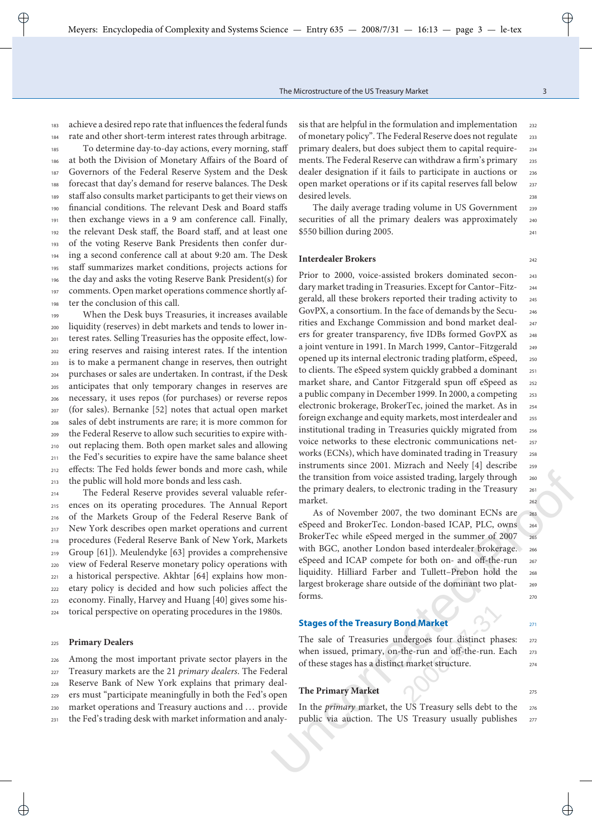<sup>183</sup> achieve a desired repo rate that influences the federal funds <sup>184</sup> rate and other short-term interest rates through arbitrage.

 To determine day-to-day actions, every morning, staff at both the Division of Monetary Affairs of the Board of Governors of the Federal Reserve System and the Desk forecast that day's demand for reserve balances. The Desk staff also consults market participants to get their views on financial conditions. The relevant Desk and Board staffs then exchange views in a 9 am conference call. Finally, the relevant Desk staff, the Board staff, and at least one of the voting Reserve Bank Presidents then confer during a second conference call at about 9:20 am. The Desk staff summarizes market conditions, projects actions for the day and asks the voting Reserve Bank President(s) for comments. Open market operations commence shortly af-ter the conclusion of this call.

 When the Desk buys Treasuries, it increases available liquidity (reserves) in debt markets and tends to lower in- terest rates. Selling Treasuries has the opposite effect, lowering reserves and raising interest rates. If the intention is to make a permanent change in reserves, then outright purchases or sales are undertaken. In contrast, if the Desk anticipates that only temporary changes in reserves are necessary, it uses repos (for purchases) or reverse repos (for sales). Bernanke [52] notes that actual open market sales of debt instruments are rare; it is more common for the Federal Reserve to allow such securities to expire with- out replacing them. Both open market sales and allowing the Fed's securities to expire have the same balance sheet effects: The Fed holds fewer bonds and more cash, while the public will hold more bonds and less cash.

 The Federal Reserve provides several valuable refer- ences on its operating procedures. The Annual Report of the Markets Group of the Federal Reserve Bank of New York describes open market operations and current procedures (Federal Reserve Bank of New York, Markets Group [61]). Meulendyke [63] provides a comprehensive view of Federal Reserve monetary policy operations with a historical perspective. Akhtar [64] explains how mon- etary policy is decided and how such policies affect the economy. Finally, Harvey and Huang [40] gives some his-torical perspective on operating procedures in the 1980s.

### <sup>225</sup> **Primary Dealers**

 Among the most important private sector players in the Treasury markets are the 21 *primary dealers*. The Federal Reserve Bank of New York explains that primary deal- ers must "participate meaningfully in both the Fed's open market operations and Treasury auctions and . . . provide the Fed's trading desk with market information and analysis that are helpful in the formulation and implementation 232 of monetary policy". The Federal Reserve does not regulate 233 primary dealers, but does subject them to capital require- <sup>234</sup> ments. The Federal Reserve can withdraw a firm's primary 235 dealer designation if it fails to participate in auctions or 236 open market operations or if its capital reserves fall below <sup>237</sup> desired levels.

The daily average trading volume in US Government 239 securities of all the primary dealers was approximately 240 \$550 billion during 2005. <sup>241</sup>

**Interdealer Brokers** 242

Prior to 2000, voice-assisted brokers dominated secon-<br>243 dary market trading in Treasuries. Except for Cantor–Fitz- <sup>244</sup> gerald, all these brokers reported their trading activity to 245 GovPX, a consortium. In the face of demands by the Secu- <sup>246</sup> rities and Exchange Commission and bond market dealers for greater transparency, five IDBs formed GovPX as <sup>248</sup> a joint venture in 1991. In March 1999, Cantor-Fitzgerald 249 opened up its internal electronic trading platform, eSpeed, 250 to clients. The eSpeed system quickly grabbed a dominant 251 market share, and Cantor Fitzgerald spun off eSpeed as 252 a public company in December 1999. In 2000, a competing 253 electronic brokerage, BrokerTec, joined the market. As in 254 foreign exchange and equity markets, most interdealer and 255 institutional trading in Treasuries quickly migrated from 256 voice networks to these electronic communications net-<br>
257 works (ECNs), which have dominated trading in Treasury 258 instruments since 2001. Mizrach and Neely [4] describe 259 the transition from voice assisted trading, largely through 260 the primary dealers, to electronic trading in the Treasury 261 market. 262

the transition from voice assisted trading, largely through sometimated properties transition (and the Treasury and K of As of November 2007, the two dominant ECNs are associated trading in the Treasury assisted CAP, PLC, As of November 2007, the two dominant ECNs are 263 eSpeed and BrokerTec. London-based ICAP, PLC, owns <sup>264</sup> BrokerTec while eSpeed merged in the summer of 2007 265 with BGC, another London based interdealer brokerage. eSpeed and ICAP compete for both on- and off-the-run 267 liquidity. Hilliard Farber and Tullett–Prebon hold the <sup>268</sup> largest brokerage share outside of the dominant two platforms. 270

# **Stages of the Treasury Bond Market**  $\begin{bmatrix} 1 \\ 2 \end{bmatrix}$  271

The sale of Treasuries undergoes four distinct phases: 272 when issued, primary, on-the-run and off-the-run. Each 273 of these stages has a distinct market structure. <sup>274</sup>

# **The Primary Market** 275

In the *primary* market, the US Treasury sells debt to the <sup>276</sup> public via auction. The US Treasury usually publishes 277

✐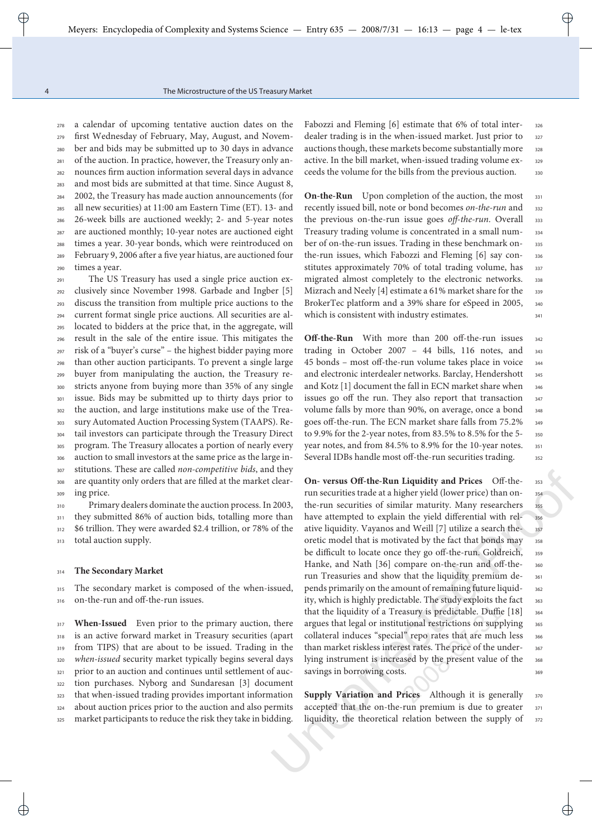a calendar of upcoming tentative auction dates on the first Wednesday of February, May, August, and Novem- ber and bids may be submitted up to 30 days in advance of the auction. In practice, however, the Treasury only an- nounces firm auction information several days in advance and most bids are submitted at that time. Since August 8, 2002, the Treasury has made auction announcements (for all new securities) at 11:00 am Eastern Time (ET). 13- and 26-week bills are auctioned weekly; 2- and 5-year notes are auctioned monthly; 10-year notes are auctioned eight times a year. 30-year bonds, which were reintroduced on February 9, 2006 after a five year hiatus, are auctioned four times a year.

 The US Treasury has used a single price auction ex- clusively since November 1998. Garbade and Ingber [5] discuss the transition from multiple price auctions to the current format single price auctions. All securities are al- located to bidders at the price that, in the aggregate, will result in the sale of the entire issue. This mitigates the risk of a "buyer's curse" – the highest bidder paying more than other auction participants. To prevent a single large buyer from manipulating the auction, the Treasury re- stricts anyone from buying more than 35% of any single issue. Bids may be submitted up to thirty days prior to the auction, and large institutions make use of the Trea- sury Automated Auction Processing System (TAAPS). Re- tail investors can participate through the Treasury Direct program. The Treasury allocates a portion of nearly every auction to small investors at the same price as the large in- stitutions. These are called *non-competitive bids*, and they are quantity only orders that are filled at the market clear-ing price.

<sup>310</sup> Primary dealers dominate the auction process. In 2003, 311 they submitted 86% of auction bids, totalling more than <sup>312</sup> \$6 trillion. They were awarded \$2.4 trillion, or 78% of the 313 total auction supply.

### <sup>314</sup> **The Secondary Market**

315 The secondary market is composed of the when-issued, <sup>316</sup> on-the-run and off-the-run issues.

**When-Issued** Even prior to the primary auction, there is an active forward market in Treasury securities (apart from TIPS) that are about to be issued. Trading in the *when-issued* security market typically begins several days 321 prior to an auction and continues until settlement of auc- tion purchases. Nyborg and Sundaresan [3] document that when-issued trading provides important information 324 about auction prices prior to the auction and also permits market participants to reduce the risk they take in bidding.

Fabozzi and Fleming [6] estimate that 6% of total interdealer trading is in the when-issued market. Just prior to 327 auctions though, these markets become substantially more 328 active. In the bill market, when-issued trading volume ex-<br>329 ceeds the volume for the bills from the previous auction. 330 ✐

✐

**On-the-Run** Upon completion of the auction, the most 331 recently issued bill, note or bond becomes on-the-run and 332 the previous on-the-run issue goes *off-the-run*. Overall 333 Treasury trading volume is concentrated in a small num- <sup>334</sup> ber of on-the-run issues. Trading in these benchmark on-<br>335 the-run issues, which Fabozzi and Fleming [6] say con- <sup>336</sup> stitutes approximately 70% of total trading volume, has 337 migrated almost completely to the electronic networks. <sup>338</sup> Mizrach and Neely [4] estimate a 61% market share for the 339 BrokerTec platform and a 39% share for eSpeed in 2005, <sup>340</sup> which is consistent with industry estimates.

**Off-the-Run** With more than 200 off-the-run issues 342 trading in October 2007 – 44 bills, 116 notes, and <sup>343</sup> 45 bonds – most off-the-run volume takes place in voice <sup>344</sup> and electronic interdealer networks. Barclay, Hendershott 345 and Kotz [1] document the fall in ECN market share when 346 issues go off the run. They also report that transaction 347 volume falls by more than 90%, on average, once a bond 348 goes off-the-run. The ECN market share falls from 75.2% 349 to 9.9% for the 2-year notes, from 83.5% to 8.5% for the 5- 350 year notes, and from 84.5% to 8.9% for the 10-year notes. 351 Several IDBs handle most off-the-run securities trading. 352

Uncorrected Proof 2008-07-31 **On- versus Off-the-Run Liquidity and Prices** Off-the- <sup>353</sup> run securities trade at a higher yield (lower price) than on- <sup>354</sup> the-run securities of similar maturity. Many researchers 355 have attempted to explain the yield differential with rel-<br>sse ative liquidity. Vayanos and Weill [7] utilize a search the- <sup>357</sup> oretic model that is motivated by the fact that bonds may 358 be difficult to locate once they go off-the-run. Goldreich, 359 Hanke, and Nath [36] compare on-the-run and off-the-<br>360 run Treasuries and show that the liquidity premium de- <sup>361</sup> pends primarily on the amount of remaining future liquid-<br>362 ity, which is highly predictable. The study exploits the fact 363 that the liquidity of a Treasury is predictable. Duffie [18] 364 argues that legal or institutional restrictions on supplying 365 collateral induces "special" repo rates that are much less 366 than market riskless interest rates. The price of the under-<br>367 lying instrument is increased by the present value of the 368 savings in borrowing costs.

**Supply Variation and Prices** Although it is generally 370 accepted that the on-the-run premium is due to greater 371 liquidity, the theoretical relation between the supply of 372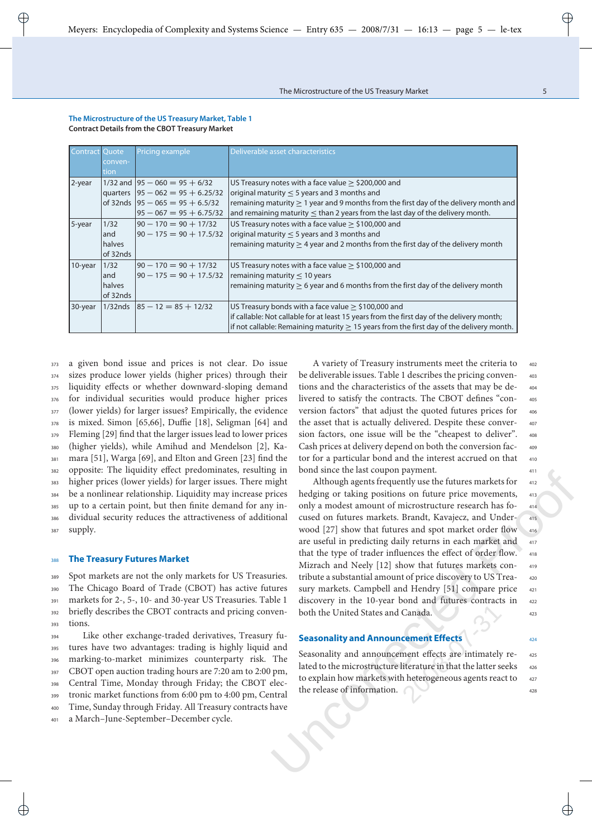### The Microstructure of the US Treasury Market 5 and 5 and 5 and 5  $-$  5  $-$  5  $-$  5  $-$  5  $-$  5  $-$  5  $-$  5  $-$  5  $-$  5  $-$  5  $-$  5  $-$  5  $-$  5  $-$  5  $-$  5  $-$  5  $-$  5  $-$  5  $-$  5  $-$  5  $-$  5  $-$  5  $-$  5  $-$  5  $-$  5  $-$  5

**The Microstructure of the US Treasury Market, Table 1 Contract Details from the CBOT Treasury Market**

✐

| Contract Quote |                 | Pricing example                     | Deliverable asset characteristics                                                             |
|----------------|-----------------|-------------------------------------|-----------------------------------------------------------------------------------------------|
|                | conven-<br>tion |                                     |                                                                                               |
|                |                 |                                     |                                                                                               |
| 2-year         |                 | 1/32 and $ 95 - 060 = 95 + 6/32$    | US Treasury notes with a face value $>$ \$200,000 and                                         |
|                |                 | quarters $ 95 - 062 = 95 + 6.25/32$ | original maturity $\leq$ 5 years and 3 months and                                             |
|                |                 | of 32nds $ 95 - 065 = 95 + 6.5/32$  | remaining maturity $\geq 1$ year and 9 months from the first day of the delivery month and    |
|                |                 | $95 - 067 = 95 + 6.75/32$           | and remaining maturity $\leq$ than 2 years from the last day of the delivery month.           |
| 5-year         | 1/32            | $190 - 170 = 90 + 17/32$            | US Treasury notes with a face value $\geq$ \$100,000 and                                      |
|                | land            | $190 - 175 = 90 + 17.5/32$          | original maturity $\leq$ 5 years and 3 months and                                             |
|                | halves          |                                     | remaining maturity $\geq 4$ year and 2 months from the first day of the delivery month        |
|                | of 32nds        |                                     |                                                                                               |
| 10-year        | 1/32            | $ 90 - 170 = 90 + 17/32$            | US Treasury notes with a face value $\geq$ \$100,000 and                                      |
|                | land            | $ 90 - 175 = 90 + 17.5/32$          | remaining maturity $\leq 10$ years                                                            |
|                | halves          |                                     | remaining maturity $> 6$ year and 6 months from the first day of the delivery month           |
|                | of 32nds        |                                     |                                                                                               |
| 30-year        | $1/32$ nds      | $ 85 - 12 = 85 + 12/32 $            | US Treasury bonds with a face value $\geq$ \$100,000 and                                      |
|                |                 |                                     | if callable: Not callable for at least 15 years from the first day of the delivery month;     |
|                |                 |                                     | If not callable: Remaining maturity $\geq 15$ years from the first day of the delivery month. |

<sup>373</sup> a given bond issue and prices is not clear. Do issue 374 sizes produce lower yields (higher prices) through their 375 liquidity effects or whether downward-sloping demand <sup>376</sup> for individual securities would produce higher prices <sup>377</sup> (lower yields) for larger issues? Empirically, the evidence is mixed. Simon  $[65,66]$ , Duffie  $[18]$ , Seligman  $[64]$  and 379 Fleming [29] find that the larger issues lead to lower prices <sup>380</sup> (higher yields), while Amihud and Mendelson [2], Ka-<sup>381</sup> mara [51], Warga [69], and Elton and Green [23] find the <sup>382</sup> opposite: The liquidity effect predominates, resulting in <sup>383</sup> higher prices (lower yields) for larger issues. There might <sup>384</sup> be a nonlinear relationship. Liquidity may increase prices <sup>385</sup> up to a certain point, but then finite demand for any individual security reduces the attractiveness of additional 387 supply.

### **The Treasury Futures Market**

<sup>389</sup> Spot markets are not the only markets for US Treasuries. <sup>390</sup> The Chicago Board of Trade (CBOT) has active futures <sup>391</sup> markets for 2-, 5-, 10- and 30-year US Treasuries. Table 1 392 briefly describes the CBOT contracts and pricing conventions.

 Like other exchange-traded derivatives, Treasury fu- tures have two advantages: trading is highly liquid and marking-to-market minimizes counterparty risk. The CBOT open auction trading hours are 7:20 am to 2:00 pm, Central Time, Monday through Friday; the CBOT elec- tronic market functions from 6:00 pm to 4:00 pm, Central Time, Sunday through Friday. All Treasury contracts have

a March–June-September–December cycle.

A variety of Treasury instruments meet the criteria to  $402$ be deliverable issues. Table 1 describes the pricing conventions and the characteristics of the assets that may be delivered to satisfy the contracts. The CBOT defines "con- <sup>405</sup> version factors" that adjust the quoted futures prices for 406 the asset that is actually delivered. Despite these conversion factors, one issue will be the "cheapest to deliver". 408 Cash prices at delivery depend on both the conversion factor for a particular bond and the interest accrued on that 410 bond since the last coupon payment.

m ion since the fast couplor payment.<br>
and the real and the match and the futures markets for any in-<br>
only a modest amount of microstructure research has fo-<br>
and consider a complex amount of microstructure research has f Although agents frequently use the futures markets for 412 hedging or taking positions on future price movements, 413 only a modest amount of microstructure research has fo- <sup>414</sup> cused on futures markets. Brandt, Kavajecz, and Under- <sup>415</sup> wood [27] show that futures and spot market order flow 416 are useful in predicting daily returns in each market and 417 that the type of trader influences the effect of order flow. 418 Mizrach and Neely [12] show that futures markets contribute a substantial amount of price discovery to US Trea- 420 sury markets. Campbell and Hendry [51] compare price 421 discovery in the 10-year bond and futures contracts in 422 both the United States and Canada. 423

# **Seasonality and Announcement Effects**

Seasonality and announcement effects are intimately related to the microstructure literature in that the latter seeks 426 to explain how markets with heterogeneous agents react to 427 the release of information.  $\bigcirc$   $\bigcirc$   $\bigcirc$   $\bigcirc$   $\bigcirc$   $\bigcirc$   $\bigcirc$   $\bigcirc$   $\bigcirc$   $\bigcirc$   $\bigcirc$   $\bigcirc$   $\bigcirc$   $\bigcirc$   $\bigcirc$   $\bigcirc$   $\bigcirc$   $\bigcirc$   $\bigcirc$   $\bigcirc$   $\bigcirc$   $\bigcirc$   $\bigcirc$   $\bigcirc$   $\bigcirc$   $\bigcirc$   $\bigcirc$   $\bigcirc$   $\bigcirc$   $\bigcirc$   $\bigcirc$   $\bigcirc$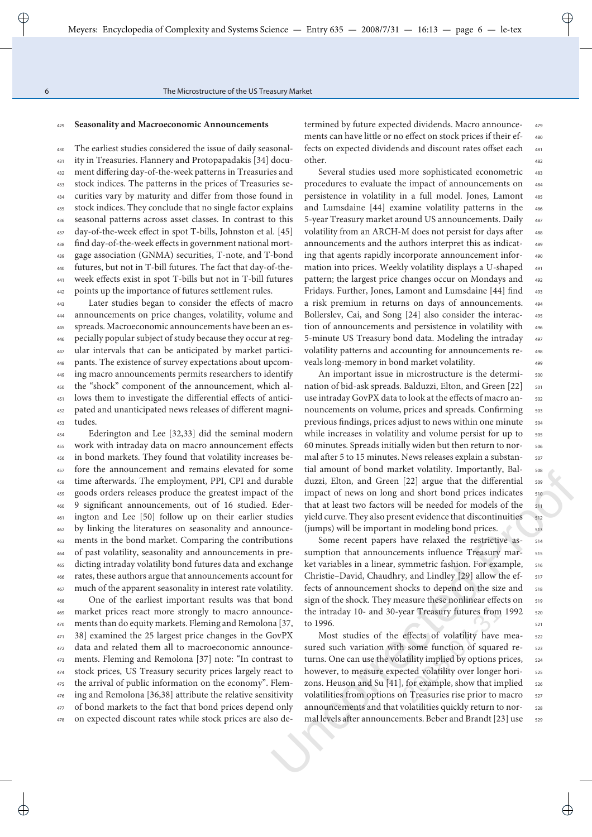✐

### <sup>429</sup> **Seasonality and Macroeconomic Announcements**

 The earliest studies considered the issue of daily seasonal- ity in Treasuries. Flannery and Protopapadakis [34] docu- ment differing day-of-the-week patterns in Treasuries and stock indices. The patterns in the prices of Treasuries se- curities vary by maturity and differ from those found in stock indices. They conclude that no single factor explains seasonal patterns across asset classes. In contrast to this day-of-the-week effect in spot T-bills, Johnston et al. [45] find day-of-the-week effects in government national mort- gage association (GNMA) securities, T-note, and T-bond futures, but not in T-bill futures. The fact that day-of-the- week effects exist in spot T-bills but not in T-bill futures points up the importance of futures settlement rules.

 Later studies began to consider the effects of macro announcements on price changes, volatility, volume and spreads. Macroeconomic announcements have been an es- pecially popular subject of study because they occur at reg- ular intervals that can be anticipated by market partici- pants. The existence of survey expectations about upcom- ing macro announcements permits researchers to identify the "shock" component of the announcement, which al- lows them to investigate the differential effects of antici- pated and unanticipated news releases of different magni-<sup>453</sup> tudes.

Ederington and Lee [32,33] did the seminal modern work with intraday data on macro announcement effects in bond markets. They found that volatility increases be- fore the announcement and remains elevated for some time afterwards. The employment, PPI, CPI and durable 459 goods orders releases produce the greatest impact of the 9 significant announcements, out of 16 studied. Eder- ington and Lee [50] follow up on their earlier studies by linking the literatures on seasonality and announce- ments in the bond market. Comparing the contributions of past volatility, seasonality and announcements in pre- dicting intraday volatility bond futures data and exchange rates, these authors argue that announcements account for much of the apparent seasonality in interest rate volatility. One of the earliest important results was that bond market prices react more strongly to macro announce- ments than do equity markets. Fleming and Remolona [37, 38] examined the 25 largest price changes in the GovPX data and related them all to macroeconomic announce- ments. Fleming and Remolona [37] note: "In contrast to stock prices, US Treasury security prices largely react to the arrival of public information on the economy". Flem- ing and Remolona [36,38] attribute the relative sensitivity 477 of bond markets to the fact that bond prices depend only on expected discount rates while stock prices are also determined by future expected dividends. Macro announcements can have little or no effect on stock prices if their ef-<br>480 fects on expected dividends and discount rates offset each 481 other.  $482$ 

Several studies used more sophisticated econometric 483 procedures to evaluate the impact of announcements on <sup>484</sup> persistence in volatility in a full model. Jones, Lamont 485 and Lumsdaine [44] examine volatility patterns in the 5-year Treasury market around US announcements. Daily 487 volatility from an ARCH-M does not persist for days after 488 announcements and the authors interpret this as indicating that agents rapidly incorporate announcement infor- <sup>490</sup> mation into prices. Weekly volatility displays a U-shaped  $491$ pattern; the largest price changes occur on Mondays and <sup>492</sup> Fridays. Further, Jones, Lamont and Lumsdaine [44] find 493 a risk premium in returns on days of announcements. <sup>494</sup> Bollerslev, Cai, and Song [24] also consider the interac- 495 tion of announcements and persistence in volatility with 496 5-minute US Treasury bond data. Modeling the intraday 497 volatility patterns and accounting for announcements reveals long-memory in bond market volatility.

An important issue in microstructure is the determi-<br>soc nation of bid-ask spreads. Balduzzi, Elton, and Green [22] 501 use intraday GovPX data to look at the effects of macro an-<br>soz nouncements on volume, prices and spreads. Confirming 503 previous findings, prices adjust to news within one minute 504 while increases in volatility and volume persist for up to sos 60 minutes. Spreads initially widen but then return to nor- <sup>506</sup> mal after 5 to 15 minutes. News releases explain a substantial amount of bond market volatility. Importantly, Bal- <sup>508</sup> duzzi, Elton, and Green [22] argue that the differential sos impact of news on long and short bond prices indicates 510 that at least two factors will be needed for models of the 511 yield curve. They also present evidence that discontinuities 512 (jumps) will be important in modeling bond prices.

Some recent papers have relaxed the restrictive as-<br>
<sub>514</sub> sumption that announcements influence Treasury market variables in a linear, symmetric fashion. For example, 516 Christie–David, Chaudhry, and Lindley [29] allow the ef- <sup>517</sup> fects of announcement shocks to depend on the size and 518 sign of the shock. They measure these nonlinear effects on 519 the intraday 10- and 30-year Treasury futures from 1992 520 to 1996. 521

some tart anionari of toom market volatility, unpotentation, bar-<br>urable duzzi, Elton, and Green [22] argue that the differential so<br>of the impact of news on long and short bond prices indicates sto<br>Eder-<br>that at least two Most studies of the effects of volatility have mea- 522 sured such variation with some function of squared returns. One can use the volatility implied by options prices,  $524$ however, to measure expected volatility over longer hori-<br>
<sub>525</sub> zons. Heuson and Su [41], for example, show that implied  $526$ volatilities from options on Treasuries rise prior to macro 527 announcements and that volatilities quickly return to nor-<br>
s28 mal levels after announcements. Beber and Brandt [23] use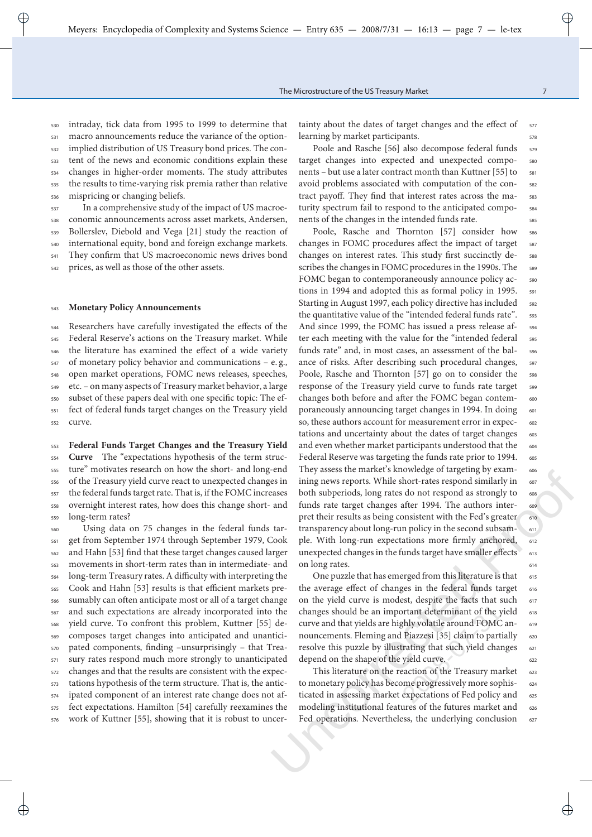intraday, tick data from 1995 to 1999 to determine that macro announcements reduce the variance of the option- implied distribution of US Treasury bond prices. The con- tent of the news and economic conditions explain these changes in higher-order moments. The study attributes the results to time-varying risk premia rather than relative mispricing or changing beliefs.

 In a comprehensive study of the impact of US macroe- conomic announcements across asset markets, Andersen, Bollerslev, Diebold and Vega [21] study the reaction of international equity, bond and foreign exchange markets. They confirm that US macroeconomic news drives bond prices, as well as those of the other assets.

### <sup>543</sup> **Monetary Policy Announcements**

✐

 Researchers have carefully investigated the effects of the Federal Reserve's actions on the Treasury market. While the literature has examined the effect of a wide variety of monetary policy behavior and communications – e. g., open market operations, FOMC news releases, speeches, etc. – on many aspects of Treasury market behavior, a large subset of these papers deal with one specific topic: The ef- fect of federal funds target changes on the Treasury yield  $552$   $C11$  $TVP$ 

 **Federal Funds Target Changes and the Treasury Yield Curve** The "expectations hypothesis of the term struc- ture" motivates research on how the short- and long-end of the Treasury yield curve react to unexpected changes in the federal funds target rate. That is, if the FOMC increases overnight interest rates, how does this change short- and long-term rates?

Using data on 75 changes in the federal funds tar- get from September 1974 through September 1979, Cook and Hahn [53] find that these target changes caused larger movements in short-term rates than in intermediate- and long-term Treasury rates. A difficulty with interpreting the Cook and Hahn [53] results is that efficient markets pre- sumably can often anticipate most or all of a target change and such expectations are already incorporated into the yield curve. To confront this problem, Kuttner [55] de- composes target changes into anticipated and unantici- pated components, finding –unsurprisingly – that Trea- sury rates respond much more strongly to unanticipated changes and that the results are consistent with the expec- tations hypothesis of the term structure. That is, the antic- ipated component of an interest rate change does not af- fect expectations. Hamilton [54] carefully reexamines the work of Kuttner [55], showing that it is robust to uncertainty about the dates of target changes and the effect of 577 learning by market participants. ✐

✐

Poole and Rasche [56] also decompose federal funds 579 target changes into expected and unexpected compo- 580 nents – but use a later contract month than Kuttner [55] to s81 avoid problems associated with computation of the con- <sup>582</sup> tract payoff. They find that interest rates across the ma- <sup>583</sup> turity spectrum fail to respond to the anticipated compo- <sup>584</sup> nents of the changes in the intended funds rate.

From the sakes are intantest s nonveloge of tractementary and the modellary in the set in imp news reports. While short-rates respond similarly in  $\omega$  and funds rate target changes after 1994. The authors inter-<br>transpar Poole, Rasche and Thornton [57] consider how 586 changes in FOMC procedures affect the impact of target s87 changes on interest rates. This study first succinctly describes the changes in FOMC procedures in the 1990s. The FOMC began to contemporaneously announce policy ac-<br>s90 tions in 1994 and adopted this as formal policy in 1995. <sub>591</sub> Starting in August 1997, each policy directive has included s92 the quantitative value of the "intended federal funds rate". 593 And since 1999, the FOMC has issued a press release af-<br>s94 ter each meeting with the value for the "intended federal s95 funds rate" and, in most cases, an assessment of the balance of risks. After describing such procedural changes, 597 Poole, Rasche and Thornton [57] go on to consider the 598 response of the Treasury yield curve to funds rate target 599 changes both before and after the FOMC began contem- 600 poraneously announcing target changes in 1994. In doing 601 so, these authors account for measurement error in expec- 602 tations and uncertainty about the dates of target changes and even whether market participants understood that the 604 Federal Reserve was targeting the funds rate prior to 1994. 605 They assess the market's knowledge of targeting by exam- 606 ining news reports. While short-rates respond similarly in 607 both subperiods, long rates do not respond as strongly to 608 funds rate target changes after 1994. The authors interpret their results as being consistent with the Fed's greater 610 transparency about long-run policy in the second subsam- 611 ple. With long-run expectations more firmly anchored, 612 unexpected changes in the funds target have smaller effects 613 on long rates. 614

One puzzle that has emerged from this literature is that 615 the average effect of changes in the federal funds target 616 on the yield curve is modest, despite the facts that such 617 changes should be an important determinant of the yield 618 curve and that yields are highly volatile around FOMC an- <sup>619</sup> nouncements. Fleming and Piazzesi [35] claim to partially 620 resolve this puzzle by illustrating that such yield changes 621 depend on the shape of the yield curve.  $622$ 

This literature on the reaction of the Treasury market  $623$ to monetary policy has become progressively more sophis- 624 ticated in assessing market expectations of Fed policy and 625 modeling institutional features of the futures market and 626 Fed operations. Nevertheless, the underlying conclusion 627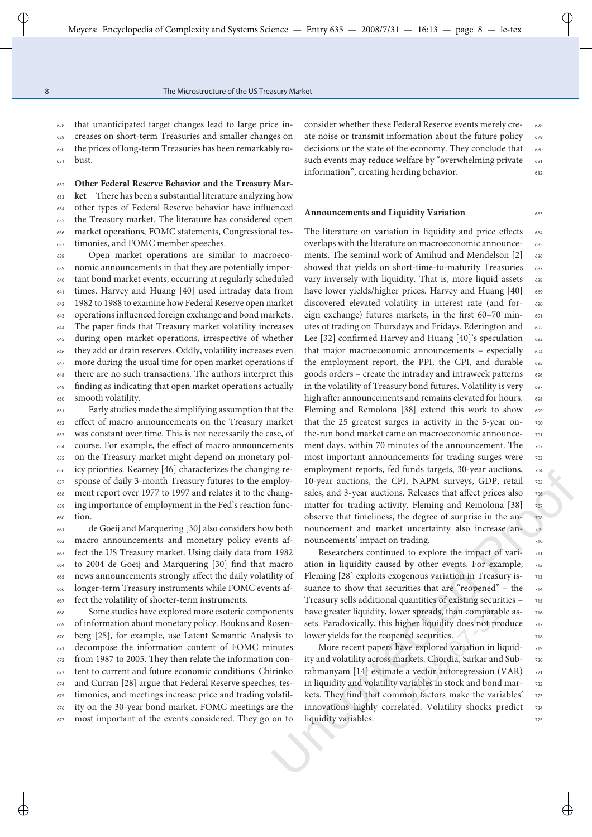that unanticipated target changes lead to large price in- creases on short-term Treasuries and smaller changes on the prices of long-term Treasuries has been remarkably ro-<sup>631</sup> bust.

 **Other Federal Reserve Behavior and the Treasury Mar- ket** There has been a substantial literature analyzing how other types of Federal Reserve behavior have influenced the Treasury market. The literature has considered open market operations, FOMC statements, Congressional tes-timonies, and FOMC member speeches.

 Open market operations are similar to macroeco- nomic announcements in that they are potentially impor- tant bond market events, occurring at regularly scheduled times. Harvey and Huang [40] used intraday data from 1982 to 1988 to examine how Federal Reserve open market operations influenced foreign exchange and bond markets. The paper finds that Treasury market volatility increases during open market operations, irrespective of whether they add or drain reserves. Oddly, volatility increases even more during the usual time for open market operations if there are no such transactions. The authors interpret this finding as indicating that open market operations actually smooth volatility.

 Early studies made the simplifying assumption that the effect of macro announcements on the Treasury market was constant over time. This is not necessarily the case, of course. For example, the effect of macro announcements on the Treasury market might depend on monetary pol- icy priorities. Kearney [46] characterizes the changing re- sponse of daily 3-month Treasury futures to the employ- ment report over 1977 to 1997 and relates it to the chang- ing importance of employment in the Fed's reaction func-<sup>660</sup> tion.

de Goeij and Marquering [30] also considers how both macro announcements and monetary policy events af- fect the US Treasury market. Using daily data from 1982 to 2004 de Goeij and Marquering [30] find that macro news announcements strongly affect the daily volatility of longer-term Treasury instruments while FOMC events af-fect the volatility of shorter-term instruments.

 Some studies have explored more esoteric components of information about monetary policy. Boukus and Rosen- berg [25], for example, use Latent Semantic Analysis to decompose the information content of FOMC minutes from 1987 to 2005. They then relate the information con- tent to current and future economic conditions. Chirinko and Curran [28] argue that Federal Reserve speeches, tes- timonies, and meetings increase price and trading volatil- ity on the 30-year bond market. FOMC meetings are the most important of the events considered. They go on to

consider whether these Federal Reserve events merely create noise or transmit information about the future policy 679 decisions or the state of the economy. They conclude that 680 such events may reduce welfare by "overwhelming private 681 information", creating herding behavior. 682 ✐

✐

### Announcements and Liquidity Variation 683

The literature on variation in liquidity and price effects 684 overlaps with the literature on macroeconomic announce- 685 ments. The seminal work of Amihud and Mendelson [2] 686 showed that yields on short-time-to-maturity Treasuries vary inversely with liquidity. That is, more liquid assets 688 have lower yields/higher prices. Harvey and Huang [40] 689 discovered elevated volatility in interest rate (and foreign exchange) futures markets, in the first 60–70 min- <sup>691</sup> utes of trading on Thursdays and Fridays. Ederington and 692 Lee [32] confirmed Harvey and Huang [40]'s speculation 693 that major macroeconomic announcements – especially the employment report, the PPI, the CPI, and durable 695 goods orders - create the intraday and intraweek patterns 696 in the volatility of Treasury bond futures. Volatility is very 697 high after announcements and remains elevated for hours. 698 Fleming and Remolona [38] extend this work to show 699 that the 25 greatest surges in activity in the 5-year onthe-run bond market came on macroeconomic announcement days, within 70 minutes of the announcement. The 702 most important announcements for trading surges were 703 employment reports, fed funds targets, 30-year auctions, 704 10-year auctions, the CPI, NAPM surveys, GDP, retail 705 sales, and 3-year auctions. Releases that affect prices also 706 matter for trading activity. Fleming and Remolona [38]  $\frac{1}{707}$ observe that timeliness, the degree of surprise in the an- <sup>708</sup> nouncement and market uncertainty also increase announcements' impact on trading.

The employment repotation, teat units targets, boryetal actuations, the CPI, NAPM surveys, GDP, retail and hange sales, and 3-year auctions. Releases that affect prices also not func- matter for trading activity. Fleming a Researchers continued to explore the impact of variation in liquidity caused by other events. For example, 712 Fleming [28] exploits exogenous variation in Treasury issuance to show that securities that are "reopened" – the  $714$ Treasury sells additional quantities of existing securities - 715 have greater liquidity, lower spreads, than comparable assets. Paradoxically, this higher liquidity does not produce 717 lower yields for the reopened securities.

More recent papers have explored variation in liquid-<br>  $719$ ity and volatility across markets. Chordia, Sarkar and Sub- 720 rahmanyam [14] estimate a vector autoregression (VAR) 721 in liquidity and volatility variables in stock and bond mar-  $\frac{722}{20}$ kets. They find that common factors make the variables' 723 innovations highly correlated. Volatility shocks predict 724 liquidity variables.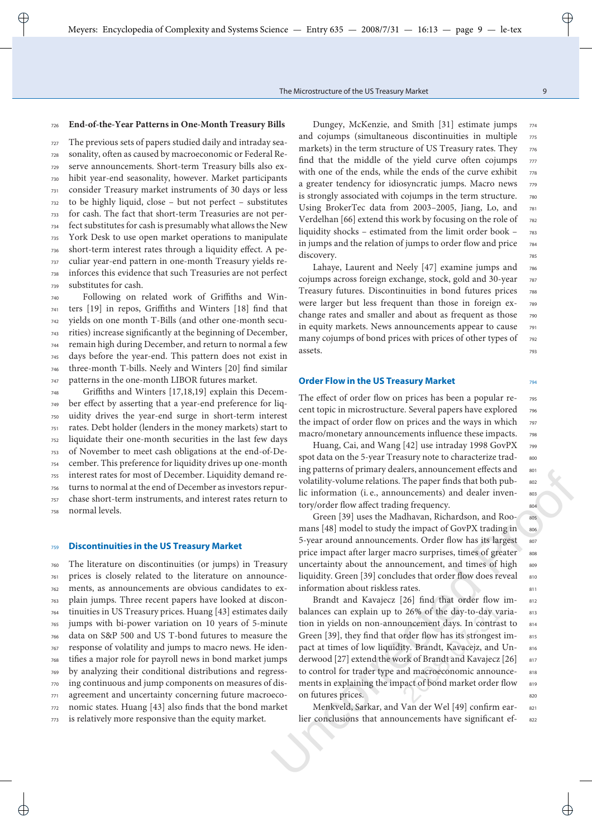#### <sup>726</sup> **End-of-the-Year Patterns in One-Month Treasury Bills**

✐

 The previous sets of papers studied daily and intraday sea- sonality, often as caused by macroeconomic or Federal Reserve announcements. Short-term Treasury bills also ex- hibit year-end seasonality, however. Market participants consider Treasury market instruments of 30 days or less to be highly liquid, close – but not perfect – substitutes for cash. The fact that short-term Treasuries are not per- fect substitutes for cash is presumably what allows the New York Desk to use open market operations to manipulate short-term interest rates through a liquidity effect. A peculiar year-end pattern in one-month Treasury yields re- inforces this evidence that such Treasuries are not perfect substitutes for cash.

 Following on related work of Griffiths and Win- ters [19] in repos, Griffiths and Winters [18] find that yields on one month T-Bills (and other one-month secu- rities) increase significantly at the beginning of December, remain high during December, and return to normal a few days before the year-end. This pattern does not exist in three-month T-bills. Neely and Winters [20] find similar patterns in the one-month LIBOR futures market.

 Griffiths and Winters [17,18,19] explain this Decem- ber effect by asserting that a year-end preference for liq- uidity drives the year-end surge in short-term interest rates. Debt holder (lenders in the money markets) start to liquidate their one-month securities in the last few days of November to meet cash obligations at the end-of-De- cember. This preference for liquidity drives up one-month interest rates for most of December. Liquidity demand re- turns to normal at the end of December as investors repur- chase short-term instruments, and interest rates return to normal levels.

#### <sup>759</sup> **Discontinuities in the US Treasury Market**

 The literature on discontinuities (or jumps) in Treasury prices is closely related to the literature on announce- ments, as announcements are obvious candidates to ex- plain jumps. Three recent papers have looked at discontinuities in US Treasury prices. Huang [43] estimates daily jumps with bi-power variation on 10 years of 5-minute data on S&P 500 and US T-bond futures to measure the response of volatility and jumps to macro news. He iden- tifies a major role for payroll news in bond market jumps by analyzing their conditional distributions and regress- ing continuous and jump components on measures of dis- agreement and uncertainty concerning future macroeco- nomic states. Huang [43] also finds that the bond market is relatively more responsive than the equity market.

Dungey, McKenzie, and Smith [31] estimate jumps 774 and cojumps (simultaneous discontinuities in multiple 775 markets) in the term structure of US Treasury rates. They  $776$ find that the middle of the yield curve often cojumps  $777$ with one of the ends, while the ends of the curve exhibit  $778$ a greater tendency for idiosyncratic jumps. Macro news 779 is strongly associated with cojumps in the term structure. 780 Using BrokerTec data from 2003–2005, Jiang, Lo, and <sup>781</sup> Verdelhan [66] extend this work by focusing on the role of  $\frac{782}{20}$ liquidity shocks – estimated from the limit order book –  $\frac{783}{2}$ in jumps and the relation of jumps to order flow and price 784 discovery.

Lahaye, Laurent and Neely [47] examine jumps and cojumps across foreign exchange, stock, gold and 30-year 787 Treasury futures. Discontinuities in bond futures prices 788 were larger but less frequent than those in foreign exchange rates and smaller and about as frequent as those 790 in equity markets. News announcements appear to cause  $\frac{791}{791}$ many cojumps of bond prices with prices of other types of 792 assets. The contract of the contract of the contract of the contract of the contract of the contract of the contract of the contract of the contract of the contract of the contract of the contract of the contract of the co

### **Order Flow in the US Treasury Market** 794

The effect of order flow on prices has been a popular recent topic in microstructure. Several papers have explored  $796$ the impact of order flow on prices and the ways in which 797 macro/monetary announcements influence these impacts.

Huang, Cai, and Wang [42] use intraday 1998 GovPX 799 spot data on the 5-year Treasury note to characterize trad- 800 ing patterns of primary dealers, announcement effects and 801 volatility-volume relations. The paper finds that both pub- 802 lic information (i.e., announcements) and dealer inventory/order flow affect trading frequency.

Green [39] uses the Madhavan, Richardson, and Roomans [48] model to study the impact of GovPX trading in  $\frac{806}{500}$ 5-year around announcements. Order flow has its largest price impact after larger macro surprises, times of greater 808 uncertainty about the announcement, and times of high 809 liquidity. Green [39] concludes that order flow does reveal 810 information about riskless rates.

dre-<br>
wolatility-volume relations. The paper finds that both pub-<br>
wolatility-volume relations. The paper finds that both pub-<br>
pur-<br>
lic information (i.e., announcements) and dealer inven-<br>
sox<br>
correct 139) uses the Madh Brandt and Kavajecz [26] find that order flow imbalances can explain up to 26% of the day-to-day varia- <sup>813</sup> tion in yields on non-announcement days. In contrast to Green [39], they find that order flow has its strongest impact at times of low liquidity. Brandt, Kavacejz, and Underwood [27] extend the work of Brandt and Kavajecz [26] 817 to control for trader type and macroeconomic announce-<br>sist ments in explaining the impact of bond market order flow 819 on futures prices.

Menkveld, Sarkar, and Van der Wel [49] confirm ear-<br>821 lier conclusions that announcements have significant ef-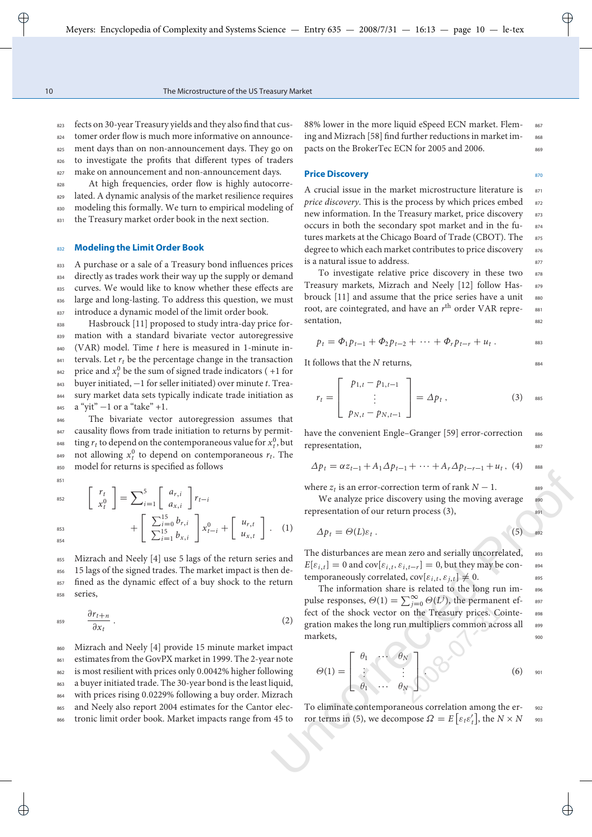✐

823 fects on 30-year Treasury yields and they also find that cus-

824 tomer order flow is much more informative on announce-

825 ment days than on non-announcement days. They go on

826 to investigate the profits that different types of traders

827 make on announcement and non-announcement days.

828 At high frequencies, order flow is highly autocorre-829 lated. A dynamic analysis of the market resilience requires

830 modeling this formally. We turn to empirical modeling of

831 the Treasury market order book in the next section.

# <sup>832</sup> **Modeling the Limit Order Book**

833 A purchase or a sale of a Treasury bond influences prices 834 directly as trades work their way up the supply or demand 835 curves. We would like to know whether these effects are 836 large and long-lasting. To address this question, we must 837 introduce a dynamic model of the limit order book.

<sup>838</sup> Hasbrouck [11] proposed to study intra-day price for-839 mation with a standard bivariate vector autoregressive <sup>840</sup> (VAR) model. Time *t* here is measured in 1-minute in- $841$  tervals. Let  $r_t$  be the percentage change in the transaction <sup>842</sup> price and  $x_t^0$  be the sum of signed trade indicators (+1 for <sup>843</sup> buyer initiated, -1 for seller initiated) over minute *t*. Treasury market data sets typically indicate trade initiation as  $^{845}$  a "yit"  $-1$  or a "take"  $+1$ .

846 The bivariate vector autoregression assumes that 847 causality flows from trade initiation to returns by permit $t_{\text{max}}$  ting  $r_t$  to depend on the contemporaneous value for  $x_t^0$ , but <sup>849</sup> not allowing  $x_t^0$  to depend on contemporaneous  $r_t$ . The <sup>850</sup> model for returns is specified as follows

851

$$
\begin{array}{ll}\n\text{852} & \begin{bmatrix} r_t \\ x_t^0 \end{bmatrix} = \sum_{i=1}^5 \begin{bmatrix} a_{r,i} \\ a_{x,i} \end{bmatrix} r_{t-i} \\
& + \begin{bmatrix} \sum_{i=0}^{15} b_{r,i} \\ \sum_{i=1}^{15} b_{x,i} \end{bmatrix} x_{t-i}^0 + \begin{bmatrix} u_{r,t} \\ u_{x,t} \end{bmatrix} . \quad (1)\n\end{array}
$$

855 Mizrach and Neely [4] use 5 lags of the return series and 856 15 lags of the signed trades. The market impact is then de-857 fined as the dynamic effect of a buy shock to the return <sup>858</sup> series,

$$
859 \qquad \frac{\partial r_{t+n}}{\partial x_t} \ . \tag{2}
$$

860 Mizrach and Neely [4] provide 15 minute market impact 861 estimates from the GovPX market in 1999. The 2-year note 862 is most resilient with prices only 0.0042% higher following <sup>863</sup> a buyer initiated trade. The 30-year bond is the least liquid, <sup>864</sup> with prices rising 0 :0229% following a buy order. Mizrach 865 and Neely also report 2004 estimates for the Cantor electronic limit order book. Market impacts range from 45 to

88% lower in the more liquid eSpeed ECN market. Fleming and Mizrach [58] find further reductions in market impacts on the BrokerTec ECN for 2005 and 2006.

# **Price Discovery** 870

A crucial issue in the market microstructure literature is 871 *price discovery*. This is the process by which prices embed 872 new information. In the Treasury market, price discovery 873 occurs in both the secondary spot market and in the fu- <sup>874</sup> tures markets at the Chicago Board of Trade (CBOT). The 875 degree to which each market contributes to price discovery 876 is a natural issue to address. 877

To investigate relative price discovery in these two 878 Treasury markets, Mizrach and Neely [12] follow Has- <sup>879</sup> brouck [11] and assume that the price series have a unit ssc root, are cointegrated, and have an  $r^{\text{th}}$  order VAR repre- 881 sentation,  $882$ 

$$
p_t = \Phi_1 p_{t-1} + \Phi_2 p_{t-2} + \cdots + \Phi_r p_{t-r} + u_t.
$$

It follows that the *N* returns,

$$
r_{t} = \begin{bmatrix} p_{1,t} - p_{1,t-1} \\ \vdots \\ p_{N,t} - p_{N,t-1} \end{bmatrix} = \Delta p_{t},
$$
 (3) <sub>885</sub>

have the convenient Engle–Granger [59] error-correction representation,

$$
\Delta p_t = \alpha z_{t-1} + A_1 \Delta p_{t-1} + \cdots + A_r \Delta p_{t-r-1} + u_t, \quad (4)
$$

where  $z_t$  is an error-correction term of rank  $N-1$ .

We analyze price discovery using the moving average 890 representation of our return process (3), 891

$$
\Delta p_t = \Theta(L)\varepsilon_t \,. \tag{5}
$$

The disturbances are mean zero and serially uncorrelated,  $E[\varepsilon_{i,t}] = 0$  and  $cov[\varepsilon_{i,t}, \varepsilon_{i,t-r}] = 0$ , but they may be contemporaneously correlated,  $cov[\varepsilon_{i,t}, \varepsilon_{j,t}] \neq 0.$ <sup>895</sup>

where  $z_i$  is an error-correction term of rank  $N - 1$ .<br>
We analyze price discovery using the moving average<br>
representation of our return process (3),<br>
(1)  $\Delta p_i = \Theta(L)\varepsilon_i$ .<br>
Simple discurbances are mean zero and serially The information share is related to the long run impulse responses,  $\Theta(1) = \sum_{j=0}^{\infty} \Theta(L^j)$ , the permanent effect of the shock vector on the Treasury prices. Cointegration makes the long run multipliers common across all 899 markets, 900

$$
\Theta(1) = \begin{bmatrix} \theta_1 & \cdots & \theta_N \\ \vdots & & \vdots \\ \theta_1 & \cdots & \theta_N \end{bmatrix}
$$
 (6) so

To eliminate contemporaneous correlation among the er-<br>
soz ror terms in (5), we decompose  $\Omega = E\left[\varepsilon_t \varepsilon_t'\right]$ , the  $N \times N$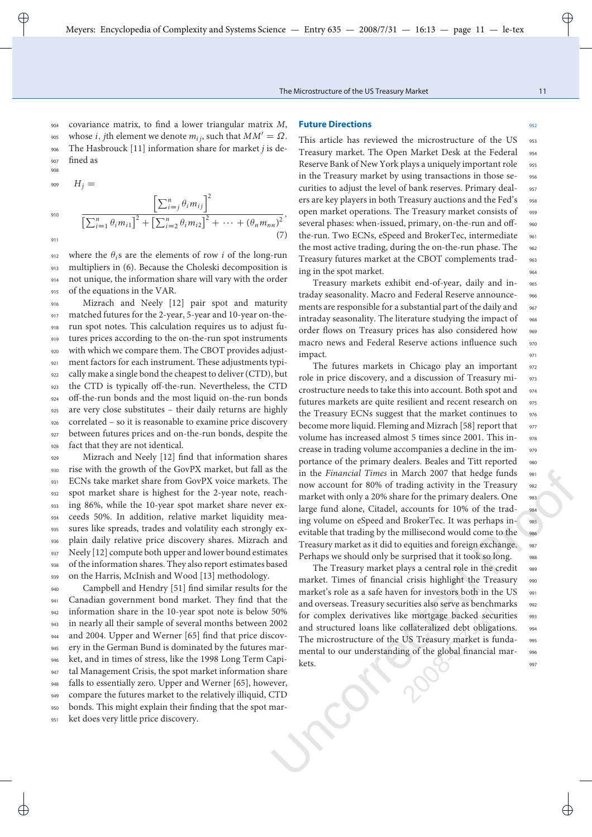;

(7)

✐

<sup>904</sup> covariance matrix, to find a lower triangular matrix *M* , <sup>905</sup> whose *i*, *j*th element we denote  $m_{ij}$ , such that  $MM' = \Omega$ . <sup>906</sup> The Hasbrouck [11] information share for market *j* is de-<sup>907</sup> fined as

> $\left[\sum_{i=j}^{n} \theta_i m_{ij}\right]^2$  $\left[\sum_{i=1}^{n} \theta_i m_{i1}\right]^2 + \left[\sum_{i=2}^{n} \theta_i m_{i2}\right]^2 + \cdots + \left(\theta_n m_{nn}\right)^2$

90<sup>c</sup>  $H_j =$ 

910

908

✐

911

<sup>912</sup> where the  $\theta_i$ s are the elements of row *i* of the long-run multipliers in (6). Because the Choleski decomposition is not unique, the information share will vary with the order of the equations in the VAR.

 Mizrach and Neely [12] pair spot and maturity matched futures for the 2-year, 5-year and 10-year on-the- run spot notes. This calculation requires us to adjust fu-919 tures prices according to the on-the-run spot instruments with which we compare them. The CBOT provides adjust-921 ment factors for each instrument. These adjustments typi- cally make a single bond the cheapest to deliver (CTD), but the CTD is typically off-the-run. Nevertheless, the CTD off-the-run bonds and the most liquid on-the-run bonds are very close substitutes – their daily returns are highly correlated – so it is reasonable to examine price discovery between futures prices and on-the-run bonds, despite the fact that they are not identical.

929 Mizrach and Neely [12] find that information shares <sup>930</sup> rise with the growth of the GovPX market, but fall as the 931 ECNs take market share from GovPX voice markets. The <sup>932</sup> spot market share is highest for the 2-year note, reach-<sup>933</sup> ing 86%, while the 10-year spot market share never ex-<sup>934</sup> ceeds 50%. In addition, relative market liquidity mea-935 sures like spreads, trades and volatility each strongly ex-<sup>936</sup> plain daily relative price discovery shares. Mizrach and 937 Neely [12] compute both upper and lower bound estimates <sup>938</sup> of the information shares. They also report estimates based 939 on the Harris, McInish and Wood [13] methodology.

940 Campbell and Hendry [51] find similar results for the 941 Canadian government bond market. They find that the <sup>942</sup> information share in the 10-year spot note is below 50% <sup>943</sup> in nearly all their sample of several months between 2002 944 and 2004. Upper and Werner [65] find that price discov-945 ery in the German Bund is dominated by the futures mar-946 ket, and in times of stress, like the 1998 Long Term Capi-947 tal Management Crisis, the spot market information share <sup>948</sup> falls to essentially zero. Upper and Werner [65], however, 949 compare the futures market to the relatively illiquid, CTD <sup>950</sup> bonds. This might explain their finding that the spot mar-<sup>951</sup> ket does very little price discovery.

### **Future Directions** 952

This article has reviewed the microstructure of the US 953 Treasury market. The Open Market Desk at the Federal 954 Reserve Bank of New York plays a uniquely important role 955 in the Treasury market by using transactions in those se-<br>
<sub>956</sub> curities to adjust the level of bank reserves. Primary deal-<br>
957 ers are key players in both Treasury auctions and the Fed's open market operations. The Treasury market consists of 959 several phases: when-issued, primary, on-the-run and off-<br>solution the-run. Two ECNs, eSpeed and BrokerTec, intermediate 961 the most active trading, during the on-the-run phase. The Treasury futures market at the CBOT complements trad- <sup>963</sup> ing in the spot market.

Treasury markets exhibit end-of-year, daily and intraday seasonality. Macro and Federal Reserve announce-<br>s66 ments are responsible for a substantial part of the daily and 967 intraday seasonality. The literature studying the impact of 968 order flows on Treasury prices has also considered how 969 macro news and Federal Reserve actions influence such 970 impact.

The futures markets in Chicago play an important 972 role in price discovery, and a discussion of Treasury mi- <sup>973</sup> crostructure needs to take this into account. Both spot and 974 futures markets are quite resilient and recent research on 975 the Treasury ECNs suggest that the market continues to 976 become more liquid. Fleming and Mizrach [58] report that 977 volume has increased almost 5 times since 2001. This increase in trading volume accompanies a decline in the im- <sup>979</sup> portance of the primary dealers. Beales and Titt reported 980 in the *Financial Times* in March 2007 that hedge funds 981 now account for 80% of trading activity in the Treasury 982 market with only a 20% share for the primary dealers. One 983 large fund alone, Citadel, accounts for 10% of the trad-<br>
984 ing volume on eSpeed and BrokerTec. It was perhaps inevitable that trading by the millisecond would come to the 986 Treasury market as it did to equities and foreign exchange. 987 Perhaps we should only be surprised that it took so long. 988

in the *Financial Times* in March 2007 that hedge funds we now account for 80% of trading activity in the Treasury wave and alone, Citadel, accounts for 10% of the trading  $\alpha$  ex-<br>
ing fund alone, Citadel, accounts for 10 The Treasury market plays a central role in the credit market. Times of financial crisis highlight the Treasury 990 market's role as a safe haven for investors both in the US 991 and overseas. Treasury securities also serve as benchmarks 992 for complex derivatives like mortgage backed securities and structured loans like collateralized debt obligations. 994 The microstructure of the US Treasury market is funda-<br>995 mental to our understanding of the global financial mar $kets.$  997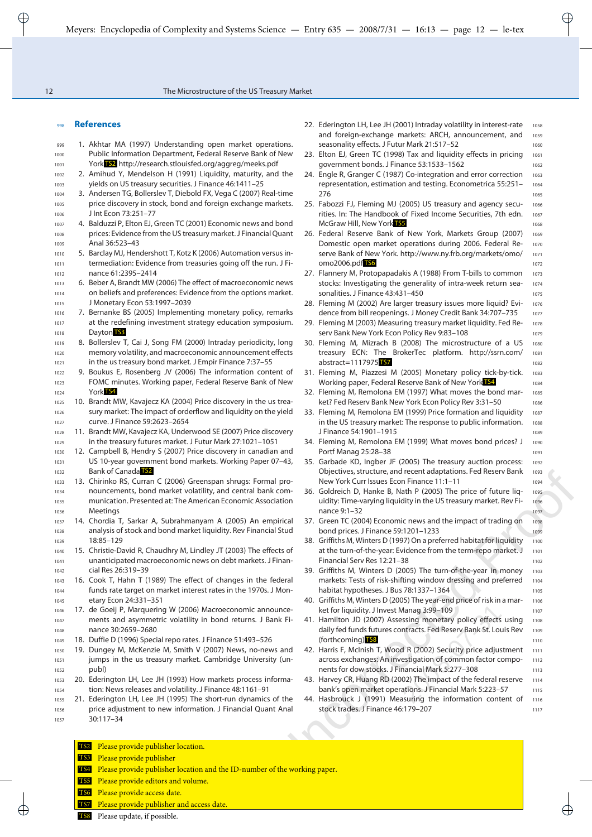### 12 The Microstructure of the US Treasury Market

#### <sup>998</sup> **References**

✐

- 1. Akhtar MA (1997) Understanding open market operations. <sup>1000</sup> Public Information Department, Federal Reserve Bank of New 1001 York TS2 <http://research.stlouisfed.org/aggreg/meeks.pdf>
- <sup>1002</sup> 2. Amihud Y, Mendelson H (1991) Liquidity, maturity, and the <sup>1003</sup> yields on US treasury securities. J Finance 46:1411–25
- <sup>1004</sup> 3. Andersen TG, Bollerslev T, Diebold FX, Vega C (2007) Real-time <sup>1005</sup> price discovery in stock, bond and foreign exchange markets. <sup>1006</sup> J Int Econ 73:251–77
- <sup>1007</sup> 4. Balduzzi P, Elton EJ, Green TC (2001) Economic news and bond <sup>1008</sup> prices: Evidence from the US treasury market. J Financial Quant <sup>1009</sup> Anal 36:523–43
- <sup>1010</sup> 5. Barclay MJ, Hendershott T, Kotz K (2006) Automation versus in-<sup>1011</sup> termediation: Evidence from treasuries going off the run. J Fi-1012 nance 61:2395-2414
- <sup>1013</sup> 6. Beber A, Brandt MW (2006) The effect of macroeconomic news <sup>1014</sup> on beliefs and preferences: Evidence from the options market. 1015 J Monetary Econ 53:1997-2039
- <sup>1016</sup> 7. Bernanke BS (2005) Implementing monetary policy, remarks <sup>1017</sup> at the redefining investment strategy education symposium. 1018 Dayton **TS3**
- <sup>1019</sup> 8. Bollerslev T, Cai J, Song FM (2000) Intraday periodicity, long <sup>1020</sup> memory volatility, and macroeconomic announcement effects 1021 in the us treasury bond market. J Empir Finance 7:37-55
- <sup>1022</sup> 9. Boukus E, Rosenberg JV (2006) The information content of <sup>1023</sup> FOMC minutes. Working paper, Federal Reserve Bank of New <sup>1024</sup> York TS4
- <sup>1025</sup> 10. Brandt MW, Kavajecz KA (2004) Price discovery in the us trea-<sup>1026</sup> sury market: The impact of orderflow and liquidity on the yield <sup>1027</sup> curve. J Finance 59:2623–2654
- <sup>1028</sup> 11. Brandt MW, Kavajecz KA, Underwood SE (2007) Price discovery <sup>1029</sup> in the treasury futures market. J Futur Mark 27:1021–1051
- <sup>1030</sup> 12. Campbell B, Hendry S (2007) Price discovery in canadian and <sup>1031</sup> US 10-year government bond markets. Working Paper 07–43, 1032 Bank of Canada TS2
- <sup>1033</sup> 13. Chirinko RS, Curran C (2006) Greenspan shrugs: Formal pro-<sup>1034</sup> nouncements, bond market volatility, and central bank com-
- munication. Presented at: The American Economic Association <sup>1036</sup> Meetings
- <sup>1037</sup> 14. Chordia T, Sarkar A, Subrahmanyam A (2005) An empirical <sup>1038</sup> analysis of stock and bond market liquidity. Rev Financial Stud <sup>1039</sup> 18:85–129
- <sup>1040</sup> 15. Christie-David R, Chaudhry M, Lindley JT (2003) The effects of <sup>1041</sup> unanticipated macroeconomic news on debt markets. J Finan-<sup>1042</sup> cial Res 26:319–39
- <sup>1043</sup> 16. Cook T, Hahn T (1989) The effect of changes in the federal <sup>1044</sup> funds rate target on market interest rates in the 1970s. J Mon-<sup>1045</sup> etary Econ 24:331–351
- <sup>1046</sup> 17. de Goeij P, Marquering W (2006) Macroeconomic announce-<sup>1047</sup> ments and asymmetric volatility in bond returns. J Bank Fi-<sup>1048</sup> nance 30:2659–2680
- <sup>1049</sup> 18. Duffie D (1996) Special repo rates. J Finance 51:493–526
- <sup>1050</sup> 19. Dungey M, McKenzie M, Smith V (2007) News, no-news and 1051 jumps in the us treasury market. Cambridge University (un-<sup>1052</sup> publ)
- <sup>1053</sup> 20. Ederington LH, Lee JH (1993) How markets process informa-<sup>1054</sup> tion: News releases and volatility. J Finance 48:1161–91
- 1055 21. Ederington LH, Lee JH (1995) The short-run dynamics of the <sup>1056</sup> price adjustment to new information. J Financial Quant Anal <sup>1057</sup> 30:117–34
- 22. Ederington LH, Lee JH (2001) Intraday volatility in interest-rate 1058 and foreign-exchange markets: ARCH, announcement, and 1059 seasonality effects. J Futur Mark 21:517-52 1060
- 23. Elton EJ, Green TC (1998) Tax and liquidity effects in pricing 1061 government bonds. J Finance 53:1533-1562
- 24. Engle R, Granger C (1987) Co-integration and error correction 1063 representation, estimation and testing. Econometrica 55:251– <sup>1064</sup>  $276$
- 25. Fabozzi FJ, Fleming MJ (2005) US treasury and agency secu-<br>1066 rities. In: The Handbook of Fixed Income Securities, 7th edn. 1067 McGraw Hill, New York TS5 1068
- 26. Federal Reserve Bank of New York, Markets Group (2007) 1069 Domestic open market operations during 2006. Federal Re- <sup>1070</sup> serve Bank of New York. [http://www.ny.frb.org/markets/omo/](http://www.ny.frb.org/markets/omo/omo2006.pdf) 1071 **[omo2006.pdf](http://www.ny.frb.org/markets/omo/omo2006.pdf) TS6** 1072
- 27. Flannery M, Protopapadakis A (1988) From T-bills to common 1073 stocks: Investigating the generality of intra-week return sea- 1074 sonalities. J Finance  $43:431-450$
- 28. Fleming M (2002) Are larger treasury issues more liquid? Evi- 1076 dence from bill reopenings. J Money Credit Bank 34:707-735 1077
- 29. Fleming M (2003) Measuring treasury market liquidity. Fed Re- 1078 serv Bank New York Econ Policy Rev 9:83-108
- 30. Fleming M, Mizrach B (2008) The microstructure of a US 1080 treasury ECN: The BrokerTec platform. [http://ssrn.com/](http://ssrn.com/abstract=1117975) <sup>1081</sup> [abstract=1117975](http://ssrn.com/abstract=1117975) TS7 1082
- 31. Fleming M, Piazzesi M (2005) Monetary policy tick-by-tick. 1083 Working paper, Federal Reserve Bank of New York TS4
- 32. Fleming M, Remolona EM (1997) What moves the bond mar- 1085 ket? Fed Reserv Bank New York Econ Policy Rev 3:31-50 1086
- 33. Fleming M, Remolona EM (1999) Price formation and liquidity 1087 in the US treasury market: The response to public information. 1088 J Finance 54:1901–1915
- 34. Fleming M, Remolona EM (1999) What moves bond prices? J 1090 Portf Manag 25:28-38 1091
- 35. Garbade KD, Ingber JF (2005) The treasury auction process: 1092 Objectives, structure, and recent adaptations. Fed Reserv Bank 1093 New York Curr Issues Econ Finance 11:1-11 1094
- 36. Goldreich D, Hanke B, Nath P (2005) The price of future liq- <sup>1095</sup> uidity: Time-varying liquidity in the US treasury market. Rev Fi- 109 nance 9:1–32 1097
- 37. Green TC (2004) Economic news and the impact of trading on 1098 bond prices. J Finance 59:1201–1233 <sup>1099</sup>
- Diestries, structure, and recent adaptatons. Fed Reserv Bank For New York Curr Issues Econ Finance 11:1-11<br>
Reserv Vork Curr Issues Econ Finance 11:1-11<br>
Reserved Proof 2008) The price of future lig-<br>
ciation uniting-vary  $38.$  Griffiths M, Winters D (1997) On a preferred habitat for liquidity  $1100$ at the turn-of-the-year: Evidence from the term-repo market. J 1101 **Financial Serv Res 12:21-38** 1102
	- 39. Griffiths M, Winters D (2005) The turn-of-the-year in money 1103 markets: Tests of risk-shifting window dressing and preferred 1104 habitat hypotheses. J Bus 78:1337-1364
	- 40. Griffiths M, Winters D (2005) The year-end price of risk in a mar- <sup>1106</sup> ket for liquidity. J Invest Manag 3:99-109
	- 41. Hamilton JD (2007) Assessing monetary policy effects using 1108 daily fed funds futures contracts. Fed Reserv Bank St. Louis Rev 1109 (forthcoming) TS8 1110
	- 42. Harris F, McInish T, Wood R (2002) Security price adjustment 1111 across exchanges: An investigation of common factor compo- <sup>1112</sup> nents for dow stocks. J Financial Mark 5:277-308
	- 43. Harvey CR, Huang RD (2002) The impact of the federal reserve 1114 bank's open market operations. J Financial Mark 5:223-57 1115
	- 44. Hasbrouck J (1991) Measuring the information content of 1116 stock trades. J Finance 46:179-207

TS2 Please provide publisher location.

- TS3 Please provide publisher
- TS4 Please provide publisher location and the ID-number of the working paper.
- TS5 Please provide editors and volume.
- TS6 Please provide access date.

✐

TS7 Please provide publisher and access date.